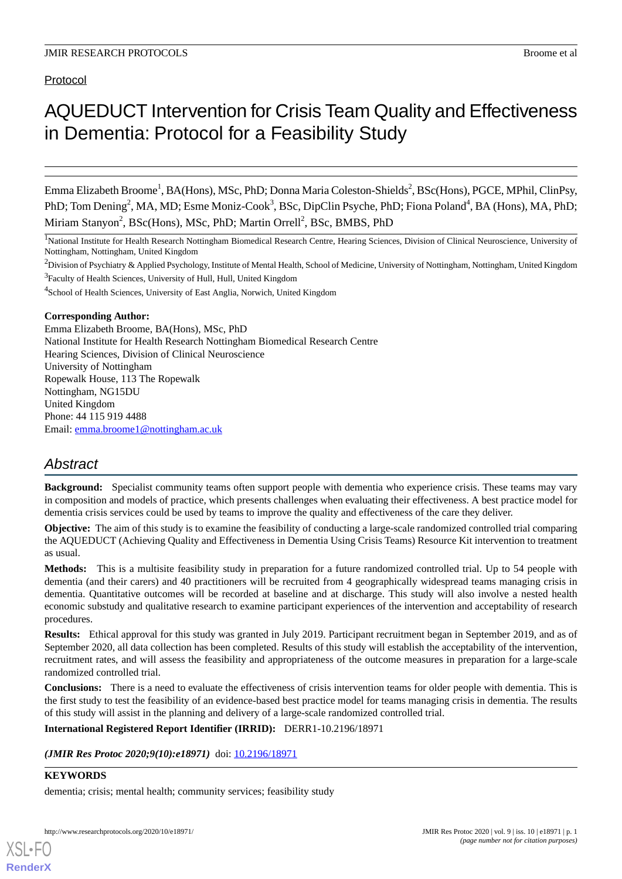# AQUEDUCT Intervention for Crisis Team Quality and Effectiveness in Dementia: Protocol for a Feasibility Study

Emma Elizabeth Broome<sup>1</sup>, BA(Hons), MSc, PhD; Donna Maria Coleston-Shields<sup>2</sup>, BSc(Hons), PGCE, MPhil, ClinPsy, PhD; Tom Dening<sup>2</sup>, MA, MD; Esme Moniz-Cook<sup>3</sup>, BSc, DipClin Psyche, PhD; Fiona Poland<sup>4</sup>, BA (Hons), MA, PhD; Miriam Stanyon<sup>2</sup>, BSc(Hons), MSc, PhD; Martin Orrell<sup>2</sup>, BSc, BMBS, PhD

<sup>1</sup>National Institute for Health Research Nottingham Biomedical Research Centre, Hearing Sciences, Division of Clinical Neuroscience, University of Nottingham, Nottingham, United Kingdom

 $2$ Division of Psychiatry & Applied Psychology, Institute of Mental Health, School of Medicine, University of Nottingham, Nottingham, United Kingdom <sup>3</sup> Faculty of Health Sciences, University of Hull, Hull, United Kingdom

<sup>4</sup>School of Health Sciences, University of East Anglia, Norwich, United Kingdom

#### **Corresponding Author:**

Emma Elizabeth Broome, BA(Hons), MSc, PhD National Institute for Health Research Nottingham Biomedical Research Centre Hearing Sciences, Division of Clinical Neuroscience University of Nottingham Ropewalk House, 113 The Ropewalk Nottingham, NG15DU United Kingdom Phone: 44 115 919 4488 Email: [emma.broome1@nottingham.ac.uk](mailto:emma.broome1@nottingham.ac.uk)

## *Abstract*

**Background:** Specialist community teams often support people with dementia who experience crisis. These teams may vary in composition and models of practice, which presents challenges when evaluating their effectiveness. A best practice model for dementia crisis services could be used by teams to improve the quality and effectiveness of the care they deliver.

**Objective:** The aim of this study is to examine the feasibility of conducting a large-scale randomized controlled trial comparing the AQUEDUCT (Achieving Quality and Effectiveness in Dementia Using Crisis Teams) Resource Kit intervention to treatment as usual.

**Methods:** This is a multisite feasibility study in preparation for a future randomized controlled trial. Up to 54 people with dementia (and their carers) and 40 practitioners will be recruited from 4 geographically widespread teams managing crisis in dementia. Quantitative outcomes will be recorded at baseline and at discharge. This study will also involve a nested health economic substudy and qualitative research to examine participant experiences of the intervention and acceptability of research procedures.

**Results:** Ethical approval for this study was granted in July 2019. Participant recruitment began in September 2019, and as of September 2020, all data collection has been completed. Results of this study will establish the acceptability of the intervention, recruitment rates, and will assess the feasibility and appropriateness of the outcome measures in preparation for a large-scale randomized controlled trial.

**Conclusions:** There is a need to evaluate the effectiveness of crisis intervention teams for older people with dementia. This is the first study to test the feasibility of an evidence-based best practice model for teams managing crisis in dementia. The results of this study will assist in the planning and delivery of a large-scale randomized controlled trial.

**International Registered Report Identifier (IRRID):** DERR1-10.2196/18971

*(JMIR Res Protoc 2020;9(10):e18971)* doi: [10.2196/18971](http://dx.doi.org/10.2196/18971)

### **KEYWORDS**

[XSL](http://www.w3.org/Style/XSL)•FO **[RenderX](http://www.renderx.com/)**

dementia; crisis; mental health; community services; feasibility study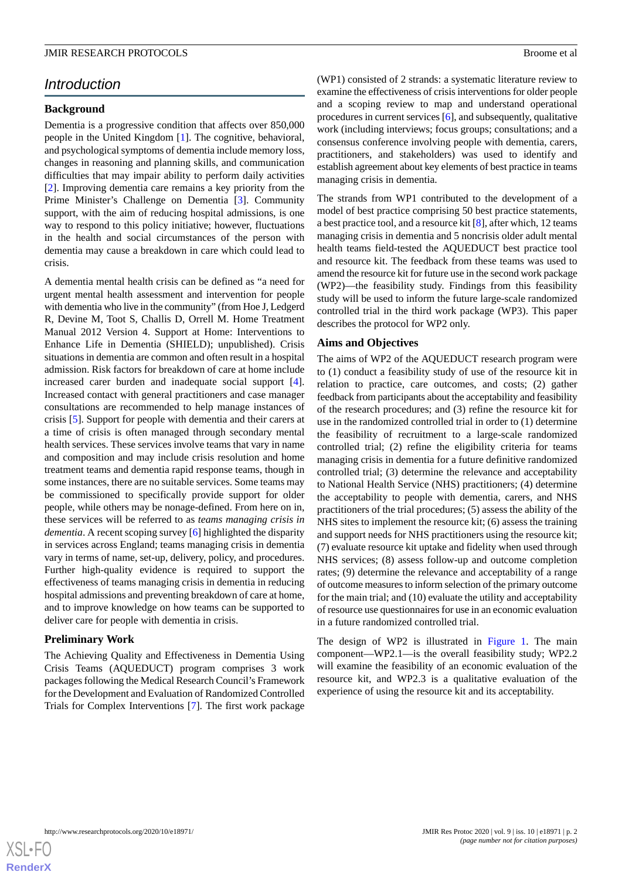## *Introduction*

#### **Background**

Dementia is a progressive condition that affects over 850,000 people in the United Kingdom [\[1\]](#page-7-0). The cognitive, behavioral, and psychological symptoms of dementia include memory loss, changes in reasoning and planning skills, and communication difficulties that may impair ability to perform daily activities [[2\]](#page-7-1). Improving dementia care remains a key priority from the Prime Minister's Challenge on Dementia [[3](#page-7-2)]. Community support, with the aim of reducing hospital admissions, is one way to respond to this policy initiative; however, fluctuations in the health and social circumstances of the person with dementia may cause a breakdown in care which could lead to crisis.

A dementia mental health crisis can be defined as "a need for urgent mental health assessment and intervention for people with dementia who live in the community" (from Hoe J, Ledgerd R, Devine M, Toot S, Challis D, Orrell M. Home Treatment Manual 2012 Version 4. Support at Home: Interventions to Enhance Life in Dementia (SHIELD); unpublished). Crisis situations in dementia are common and often result in a hospital admission. Risk factors for breakdown of care at home include increased carer burden and inadequate social support [[4\]](#page-7-3). Increased contact with general practitioners and case manager consultations are recommended to help manage instances of crisis [[5](#page-7-4)]. Support for people with dementia and their carers at a time of crisis is often managed through secondary mental health services. These services involve teams that vary in name and composition and may include crisis resolution and home treatment teams and dementia rapid response teams, though in some instances, there are no suitable services. Some teams may be commissioned to specifically provide support for older people, while others may be nonage-defined. From here on in, these services will be referred to as *teams managing crisis in dementia*. A recent scoping survey [\[6](#page-7-5)] highlighted the disparity in services across England; teams managing crisis in dementia vary in terms of name, set-up, delivery, policy, and procedures. Further high-quality evidence is required to support the effectiveness of teams managing crisis in dementia in reducing hospital admissions and preventing breakdown of care at home, and to improve knowledge on how teams can be supported to deliver care for people with dementia in crisis.

#### **Preliminary Work**

The Achieving Quality and Effectiveness in Dementia Using Crisis Teams (AQUEDUCT) program comprises 3 work packages following the Medical Research Council's Framework for the Development and Evaluation of Randomized Controlled Trials for Complex Interventions [[7\]](#page-7-6). The first work package

(WP1) consisted of 2 strands: a systematic literature review to examine the effectiveness of crisis interventions for older people and a scoping review to map and understand operational procedures in current services [\[6](#page-7-5)], and subsequently, qualitative work (including interviews; focus groups; consultations; and a consensus conference involving people with dementia, carers, practitioners, and stakeholders) was used to identify and establish agreement about key elements of best practice in teams managing crisis in dementia.

The strands from WP1 contributed to the development of a model of best practice comprising 50 best practice statements, a best practice tool, and a resource kit [[8\]](#page-7-7), after which, 12 teams managing crisis in dementia and 5 noncrisis older adult mental health teams field-tested the AQUEDUCT best practice tool and resource kit. The feedback from these teams was used to amend the resource kit for future use in the second work package (WP2)—the feasibility study. Findings from this feasibility study will be used to inform the future large-scale randomized controlled trial in the third work package (WP3). This paper describes the protocol for WP2 only.

#### **Aims and Objectives**

The aims of WP2 of the AQUEDUCT research program were to (1) conduct a feasibility study of use of the resource kit in relation to practice, care outcomes, and costs; (2) gather feedback from participants about the acceptability and feasibility of the research procedures; and (3) refine the resource kit for use in the randomized controlled trial in order to (1) determine the feasibility of recruitment to a large-scale randomized controlled trial; (2) refine the eligibility criteria for teams managing crisis in dementia for a future definitive randomized controlled trial; (3) determine the relevance and acceptability to National Health Service (NHS) practitioners; (4) determine the acceptability to people with dementia, carers, and NHS practitioners of the trial procedures; (5) assess the ability of the NHS sites to implement the resource kit; (6) assess the training and support needs for NHS practitioners using the resource kit; (7) evaluate resource kit uptake and fidelity when used through NHS services; (8) assess follow-up and outcome completion rates; (9) determine the relevance and acceptability of a range of outcome measures to inform selection of the primary outcome for the main trial; and (10) evaluate the utility and acceptability of resource use questionnaires for use in an economic evaluation in a future randomized controlled trial.

The design of WP2 is illustrated in [Figure 1.](#page-2-0) The main component—WP2.1—is the overall feasibility study; WP2.2 will examine the feasibility of an economic evaluation of the resource kit, and WP2.3 is a qualitative evaluation of the experience of using the resource kit and its acceptability.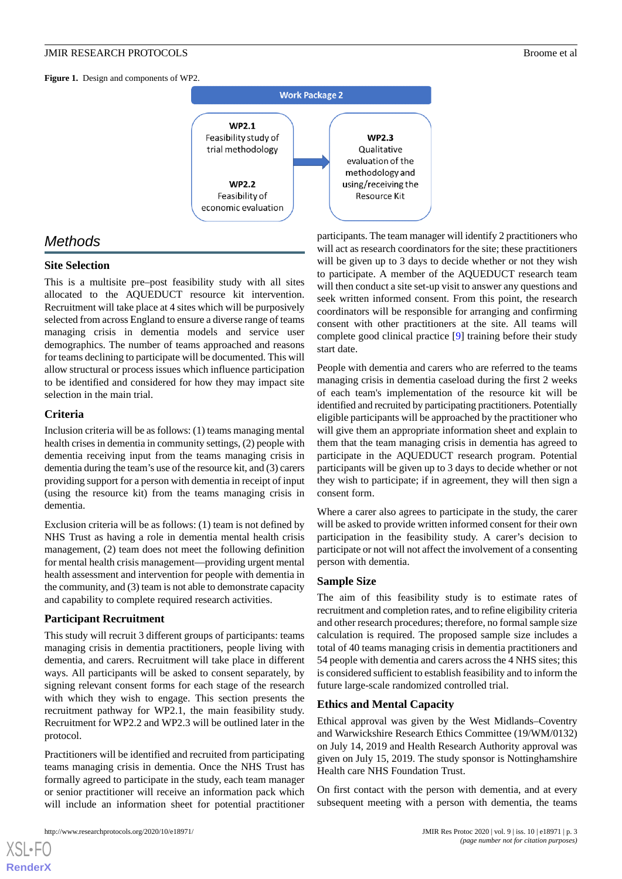<span id="page-2-0"></span>**Figure 1.** Design and components of WP2.



## *Methods*

#### **Site Selection**

This is a multisite pre–post feasibility study with all sites allocated to the AQUEDUCT resource kit intervention. Recruitment will take place at 4 sites which will be purposively selected from across England to ensure a diverse range of teams managing crisis in dementia models and service user demographics. The number of teams approached and reasons for teams declining to participate will be documented. This will allow structural or process issues which influence participation to be identified and considered for how they may impact site selection in the main trial.

#### **Criteria**

Inclusion criteria will be as follows: (1) teams managing mental health crises in dementia in community settings, (2) people with dementia receiving input from the teams managing crisis in dementia during the team's use of the resource kit, and (3) carers providing support for a person with dementia in receipt of input (using the resource kit) from the teams managing crisis in dementia.

Exclusion criteria will be as follows: (1) team is not defined by NHS Trust as having a role in dementia mental health crisis management, (2) team does not meet the following definition for mental health crisis management—providing urgent mental health assessment and intervention for people with dementia in the community, and (3) team is not able to demonstrate capacity and capability to complete required research activities.

#### **Participant Recruitment**

This study will recruit 3 different groups of participants: teams managing crisis in dementia practitioners, people living with dementia, and carers. Recruitment will take place in different ways. All participants will be asked to consent separately, by signing relevant consent forms for each stage of the research with which they wish to engage. This section presents the recruitment pathway for WP2.1, the main feasibility study. Recruitment for WP2.2 and WP2.3 will be outlined later in the protocol.

Practitioners will be identified and recruited from participating teams managing crisis in dementia. Once the NHS Trust has formally agreed to participate in the study, each team manager or senior practitioner will receive an information pack which will include an information sheet for potential practitioner

[XSL](http://www.w3.org/Style/XSL)•FO **[RenderX](http://www.renderx.com/)**

participants. The team manager will identify 2 practitioners who will act as research coordinators for the site; these practitioners will be given up to 3 days to decide whether or not they wish to participate. A member of the AQUEDUCT research team will then conduct a site set-up visit to answer any questions and seek written informed consent. From this point, the research coordinators will be responsible for arranging and confirming consent with other practitioners at the site. All teams will complete good clinical practice [\[9](#page-7-8)] training before their study start date.

People with dementia and carers who are referred to the teams managing crisis in dementia caseload during the first 2 weeks of each team's implementation of the resource kit will be identified and recruited by participating practitioners. Potentially eligible participants will be approached by the practitioner who will give them an appropriate information sheet and explain to them that the team managing crisis in dementia has agreed to participate in the AQUEDUCT research program. Potential participants will be given up to 3 days to decide whether or not they wish to participate; if in agreement, they will then sign a consent form.

Where a carer also agrees to participate in the study, the carer will be asked to provide written informed consent for their own participation in the feasibility study. A carer's decision to participate or not will not affect the involvement of a consenting person with dementia.

#### **Sample Size**

The aim of this feasibility study is to estimate rates of recruitment and completion rates, and to refine eligibility criteria and other research procedures; therefore, no formal sample size calculation is required. The proposed sample size includes a total of 40 teams managing crisis in dementia practitioners and 54 people with dementia and carers across the 4 NHS sites; this is considered sufficient to establish feasibility and to inform the future large-scale randomized controlled trial.

#### **Ethics and Mental Capacity**

Ethical approval was given by the West Midlands–Coventry and Warwickshire Research Ethics Committee (19/WM/0132) on July 14, 2019 and Health Research Authority approval was given on July 15, 2019. The study sponsor is Nottinghamshire Health care NHS Foundation Trust.

On first contact with the person with dementia, and at every subsequent meeting with a person with dementia, the teams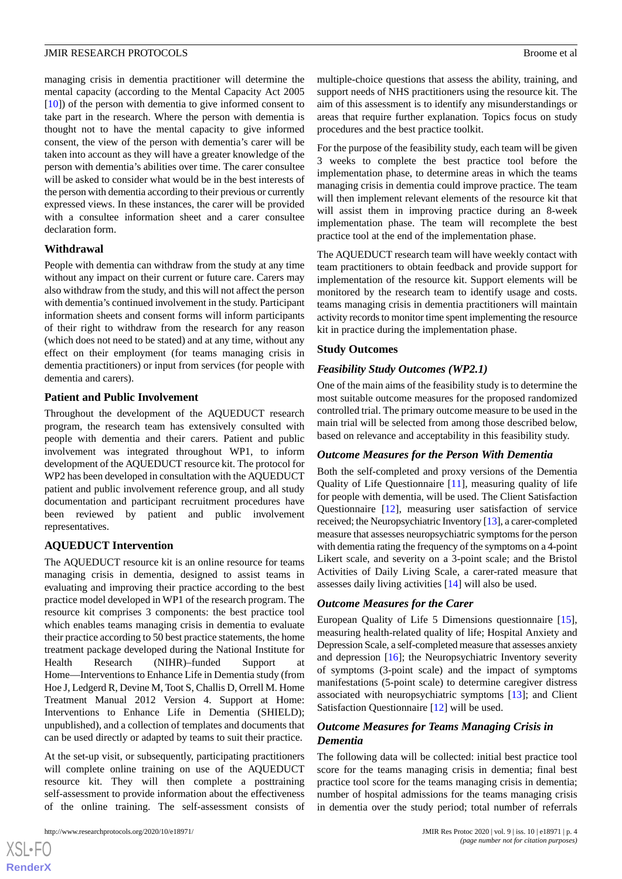managing crisis in dementia practitioner will determine the mental capacity (according to the Mental Capacity Act 2005 [[10\]](#page-7-9)) of the person with dementia to give informed consent to take part in the research. Where the person with dementia is thought not to have the mental capacity to give informed consent, the view of the person with dementia's carer will be taken into account as they will have a greater knowledge of the person with dementia's abilities over time. The carer consultee will be asked to consider what would be in the best interests of the person with dementia according to their previous or currently expressed views. In these instances, the carer will be provided with a consultee information sheet and a carer consultee declaration form.

#### **Withdrawal**

People with dementia can withdraw from the study at any time without any impact on their current or future care. Carers may also withdraw from the study, and this will not affect the person with dementia's continued involvement in the study. Participant information sheets and consent forms will inform participants of their right to withdraw from the research for any reason (which does not need to be stated) and at any time, without any effect on their employment (for teams managing crisis in dementia practitioners) or input from services (for people with dementia and carers).

#### **Patient and Public Involvement**

Throughout the development of the AQUEDUCT research program, the research team has extensively consulted with people with dementia and their carers. Patient and public involvement was integrated throughout WP1, to inform development of the AQUEDUCT resource kit. The protocol for WP2 has been developed in consultation with the AQUEDUCT patient and public involvement reference group, and all study documentation and participant recruitment procedures have been reviewed by patient and public involvement representatives.

#### **AQUEDUCT Intervention**

The AQUEDUCT resource kit is an online resource for teams managing crisis in dementia, designed to assist teams in evaluating and improving their practice according to the best practice model developed in WP1 of the research program. The resource kit comprises 3 components: the best practice tool which enables teams managing crisis in dementia to evaluate their practice according to 50 best practice statements, the home treatment package developed during the National Institute for Health Research (NIHR)–funded Support at Home—Interventions to Enhance Life in Dementia study (from Hoe J, Ledgerd R, Devine M, Toot S, Challis D, Orrell M. Home Treatment Manual 2012 Version 4. Support at Home: Interventions to Enhance Life in Dementia (SHIELD); unpublished), and a collection of templates and documents that can be used directly or adapted by teams to suit their practice.

At the set-up visit, or subsequently, participating practitioners will complete online training on use of the AQUEDUCT resource kit. They will then complete a posttraining self-assessment to provide information about the effectiveness of the online training. The self-assessment consists of

 $XS$  $\cdot$ FC **[RenderX](http://www.renderx.com/)** multiple-choice questions that assess the ability, training, and support needs of NHS practitioners using the resource kit. The aim of this assessment is to identify any misunderstandings or areas that require further explanation. Topics focus on study procedures and the best practice toolkit.

For the purpose of the feasibility study, each team will be given 3 weeks to complete the best practice tool before the implementation phase, to determine areas in which the teams managing crisis in dementia could improve practice. The team will then implement relevant elements of the resource kit that will assist them in improving practice during an 8-week implementation phase. The team will recomplete the best practice tool at the end of the implementation phase.

The AQUEDUCT research team will have weekly contact with team practitioners to obtain feedback and provide support for implementation of the resource kit. Support elements will be monitored by the research team to identify usage and costs. teams managing crisis in dementia practitioners will maintain activity records to monitor time spent implementing the resource kit in practice during the implementation phase.

#### **Study Outcomes**

#### *Feasibility Study Outcomes (WP2.1)*

One of the main aims of the feasibility study is to determine the most suitable outcome measures for the proposed randomized controlled trial. The primary outcome measure to be used in the main trial will be selected from among those described below, based on relevance and acceptability in this feasibility study.

#### *Outcome Measures for the Person With Dementia*

Both the self-completed and proxy versions of the Dementia Quality of Life Questionnaire [[11\]](#page-7-10), measuring quality of life for people with dementia, will be used. The Client Satisfaction Questionnaire [[12\]](#page-7-11), measuring user satisfaction of service received; the Neuropsychiatric Inventory [\[13\]](#page-7-12), a carer-completed measure that assesses neuropsychiatric symptoms for the person with dementia rating the frequency of the symptoms on a 4-point Likert scale, and severity on a 3-point scale; and the Bristol Activities of Daily Living Scale, a carer-rated measure that assesses daily living activities [[14\]](#page-7-13) will also be used.

#### *Outcome Measures for the Carer*

European Quality of Life 5 Dimensions questionnaire [[15\]](#page-7-14), measuring health-related quality of life; Hospital Anxiety and Depression Scale, a self-completed measure that assesses anxiety and depression [\[16](#page-7-15)]; the Neuropsychiatric Inventory severity of symptoms (3-point scale) and the impact of symptoms manifestations (5-point scale) to determine caregiver distress associated with neuropsychiatric symptoms [[13\]](#page-7-12); and Client Satisfaction Questionnaire [\[12](#page-7-11)] will be used.

### *Outcome Measures for Teams Managing Crisis in Dementia*

The following data will be collected: initial best practice tool score for the teams managing crisis in dementia; final best practice tool score for the teams managing crisis in dementia; number of hospital admissions for the teams managing crisis in dementia over the study period; total number of referrals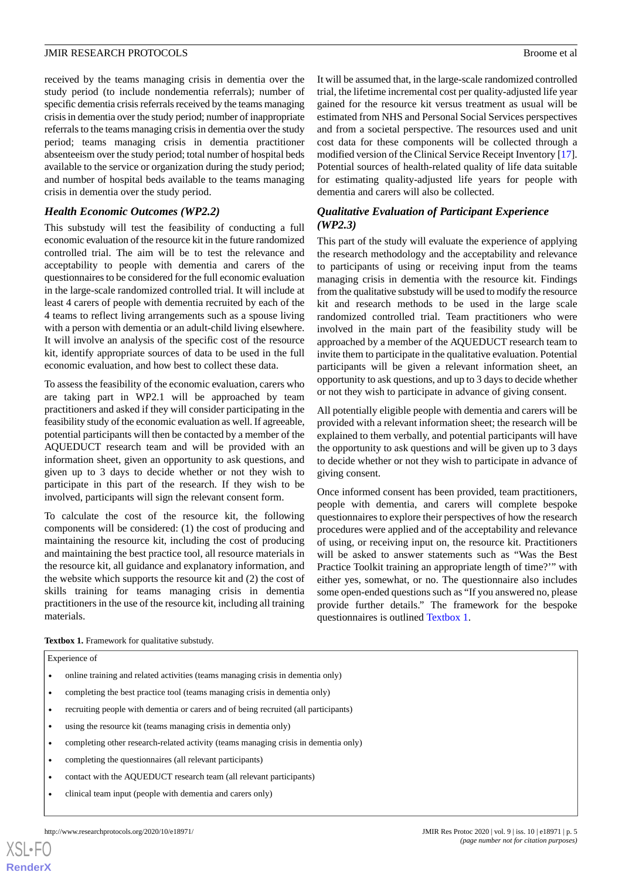received by the teams managing crisis in dementia over the study period (to include nondementia referrals); number of specific dementia crisis referrals received by the teams managing crisis in dementia over the study period; number of inappropriate referrals to the teams managing crisis in dementia over the study period; teams managing crisis in dementia practitioner absenteeism over the study period; total number of hospital beds available to the service or organization during the study period; and number of hospital beds available to the teams managing crisis in dementia over the study period.

#### *Health Economic Outcomes (WP2.2)*

This substudy will test the feasibility of conducting a full economic evaluation of the resource kit in the future randomized controlled trial. The aim will be to test the relevance and acceptability to people with dementia and carers of the questionnaires to be considered for the full economic evaluation in the large-scale randomized controlled trial. It will include at least 4 carers of people with dementia recruited by each of the 4 teams to reflect living arrangements such as a spouse living with a person with dementia or an adult-child living elsewhere. It will involve an analysis of the specific cost of the resource kit, identify appropriate sources of data to be used in the full economic evaluation, and how best to collect these data.

To assess the feasibility of the economic evaluation, carers who are taking part in WP2.1 will be approached by team practitioners and asked if they will consider participating in the feasibility study of the economic evaluation as well. If agreeable, potential participants will then be contacted by a member of the AQUEDUCT research team and will be provided with an information sheet, given an opportunity to ask questions, and given up to 3 days to decide whether or not they wish to participate in this part of the research. If they wish to be involved, participants will sign the relevant consent form.

<span id="page-4-0"></span>To calculate the cost of the resource kit, the following components will be considered: (1) the cost of producing and maintaining the resource kit, including the cost of producing and maintaining the best practice tool, all resource materials in the resource kit, all guidance and explanatory information, and the website which supports the resource kit and (2) the cost of skills training for teams managing crisis in dementia practitioners in the use of the resource kit, including all training materials.

It will be assumed that, in the large-scale randomized controlled trial, the lifetime incremental cost per quality-adjusted life year gained for the resource kit versus treatment as usual will be estimated from NHS and Personal Social Services perspectives and from a societal perspective. The resources used and unit cost data for these components will be collected through a modified version of the Clinical Service Receipt Inventory [\[17](#page-7-16)]. Potential sources of health-related quality of life data suitable for estimating quality-adjusted life years for people with dementia and carers will also be collected.

### *Qualitative Evaluation of Participant Experience (WP2.3)*

This part of the study will evaluate the experience of applying the research methodology and the acceptability and relevance to participants of using or receiving input from the teams managing crisis in dementia with the resource kit. Findings from the qualitative substudy will be used to modify the resource kit and research methods to be used in the large scale randomized controlled trial. Team practitioners who were involved in the main part of the feasibility study will be approached by a member of the AQUEDUCT research team to invite them to participate in the qualitative evaluation. Potential participants will be given a relevant information sheet, an opportunity to ask questions, and up to 3 days to decide whether or not they wish to participate in advance of giving consent.

All potentially eligible people with dementia and carers will be provided with a relevant information sheet; the research will be explained to them verbally, and potential participants will have the opportunity to ask questions and will be given up to 3 days to decide whether or not they wish to participate in advance of giving consent.

Once informed consent has been provided, team practitioners, people with dementia, and carers will complete bespoke questionnaires to explore their perspectives of how the research procedures were applied and of the acceptability and relevance of using, or receiving input on, the resource kit. Practitioners will be asked to answer statements such as "Was the Best Practice Toolkit training an appropriate length of time?'" with either yes, somewhat, or no. The questionnaire also includes some open-ended questions such as "If you answered no, please provide further details." The framework for the bespoke questionnaires is outlined [Textbox 1](#page-4-0).

**Textbox 1.** Framework for qualitative substudy.

| Experience of |                                                                                 |  |  |  |  |  |
|---------------|---------------------------------------------------------------------------------|--|--|--|--|--|
| $\bullet$     | online training and related activities (teams managing crisis in dementia only) |  |  |  |  |  |
| $\bullet$     | completing the best practice tool (teams managing crisis in dementia only)      |  |  |  |  |  |

- recruiting people with dementia or carers and of being recruited (all participants)
- using the resource kit (teams managing crisis in dementia only)
- completing other research-related activity (teams managing crisis in dementia only)
- completing the questionnaires (all relevant participants)
- contact with the AQUEDUCT research team (all relevant participants)
- clinical team input (people with dementia and carers only)

 $XS$  • FO **[RenderX](http://www.renderx.com/)**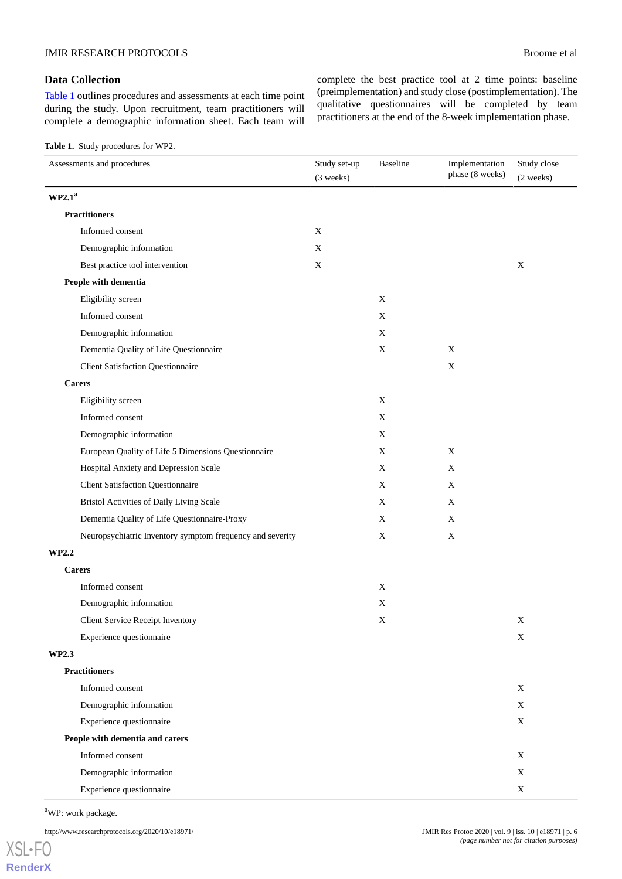#### **Data Collection**

[Table 1](#page-5-0) outlines procedures and assessments at each time point during the study. Upon recruitment, team practitioners will complete a demographic information sheet. Each team will complete the best practice tool at 2 time points: baseline (preimplementation) and study close (postimplementation). The qualitative questionnaires will be completed by team practitioners at the end of the 8-week implementation phase.

<span id="page-5-0"></span>**Table 1.** Study procedures for WP2.

| Assessments and procedures                                | Study set-up<br>(3 weeks) | Baseline    | Implementation<br>phase (8 weeks) | Study close<br>(2 weeks) |  |
|-----------------------------------------------------------|---------------------------|-------------|-----------------------------------|--------------------------|--|
| WP2.1 <sup>a</sup>                                        |                           |             |                                   |                          |  |
| <b>Practitioners</b>                                      |                           |             |                                   |                          |  |
| Informed consent                                          | X                         |             |                                   |                          |  |
| Demographic information                                   | X                         |             |                                   |                          |  |
| Best practice tool intervention                           | $\mathbf X$               |             |                                   | $\mathbf X$              |  |
| People with dementia                                      |                           |             |                                   |                          |  |
| Eligibility screen                                        |                           | X           |                                   |                          |  |
| Informed consent                                          |                           | X           |                                   |                          |  |
| Demographic information                                   |                           | $\mathbf X$ |                                   |                          |  |
| Dementia Quality of Life Questionnaire                    |                           | X           | $\mathbf X$                       |                          |  |
| <b>Client Satisfaction Questionnaire</b>                  |                           |             | $\mathbf X$                       |                          |  |
| <b>Carers</b>                                             |                           |             |                                   |                          |  |
| Eligibility screen                                        |                           | X           |                                   |                          |  |
| Informed consent                                          |                           | X           |                                   |                          |  |
| Demographic information                                   |                           | $\mathbf X$ |                                   |                          |  |
| European Quality of Life 5 Dimensions Questionnaire       |                           | $\mathbf X$ | $\mathbf X$                       |                          |  |
| Hospital Anxiety and Depression Scale                     |                           | X           | X                                 |                          |  |
| <b>Client Satisfaction Questionnaire</b>                  |                           | X           | X                                 |                          |  |
| Bristol Activities of Daily Living Scale                  |                           | $\mathbf X$ | $\mathbf X$                       |                          |  |
| Dementia Quality of Life Questionnaire-Proxy              |                           | $\mathbf X$ | X                                 |                          |  |
| Neuropsychiatric Inventory symptom frequency and severity |                           | X           | $\mathbf X$                       |                          |  |
| WP2.2                                                     |                           |             |                                   |                          |  |
| <b>Carers</b>                                             |                           |             |                                   |                          |  |
| Informed consent                                          |                           | X           |                                   |                          |  |
| Demographic information                                   |                           | X           |                                   |                          |  |
| Client Service Receipt Inventory                          |                           | $\mathbf X$ |                                   | $\mathbf X$              |  |
| Experience questionnaire                                  |                           |             |                                   | X                        |  |
| WP2.3                                                     |                           |             |                                   |                          |  |
| <b>Practitioners</b>                                      |                           |             |                                   |                          |  |
| Informed consent                                          |                           |             |                                   | X                        |  |
| Demographic information                                   |                           |             |                                   | X                        |  |
| Experience questionnaire                                  |                           |             |                                   | $\mathbf X$              |  |
| People with dementia and carers                           |                           |             |                                   |                          |  |
| Informed consent                                          |                           |             |                                   | X                        |  |
| Demographic information                                   |                           |             |                                   | X                        |  |
| Experience questionnaire                                  |                           |             |                                   | $\mathbf X$              |  |

<sup>a</sup>WP: work package.

http://www.researchprotocols.org/2020/10/e18971/ JMIR Res Protoc 2020 | vol. 9 | iss. 10 | e18971 | p. 6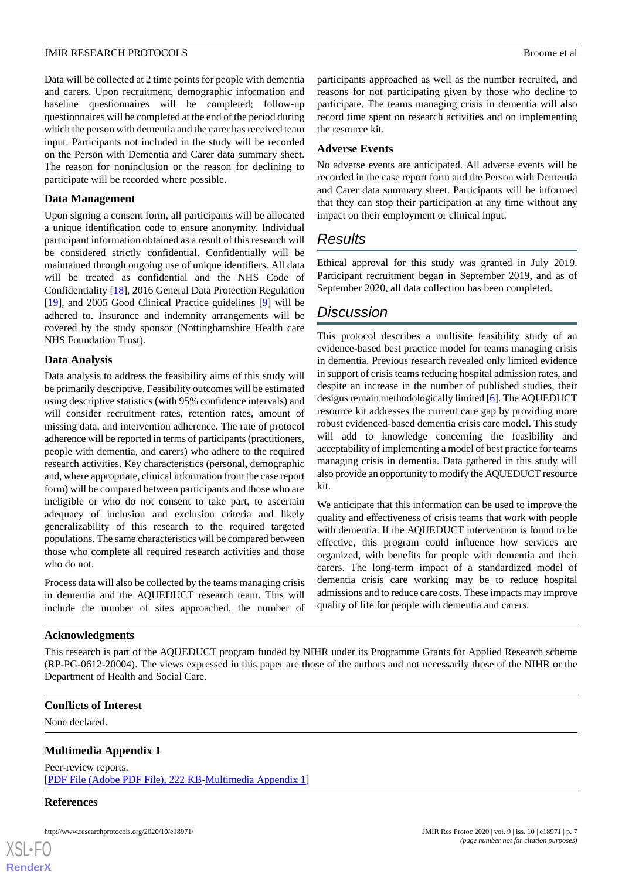Data will be collected at 2 time points for people with dementia and carers. Upon recruitment, demographic information and baseline questionnaires will be completed; follow-up questionnaires will be completed at the end of the period during which the person with dementia and the carer has received team input. Participants not included in the study will be recorded on the Person with Dementia and Carer data summary sheet. The reason for noninclusion or the reason for declining to participate will be recorded where possible.

#### **Data Management**

Upon signing a consent form, all participants will be allocated a unique identification code to ensure anonymity. Individual participant information obtained as a result of this research will be considered strictly confidential. Confidentially will be maintained through ongoing use of unique identifiers. All data will be treated as confidential and the NHS Code of Confidentiality [[18\]](#page-7-17), 2016 General Data Protection Regulation [[19\]](#page-7-18), and 2005 Good Clinical Practice guidelines [\[9](#page-7-8)] will be adhered to. Insurance and indemnity arrangements will be covered by the study sponsor (Nottinghamshire Health care NHS Foundation Trust).

#### **Data Analysis**

Data analysis to address the feasibility aims of this study will be primarily descriptive. Feasibility outcomes will be estimated using descriptive statistics (with 95% confidence intervals) and will consider recruitment rates, retention rates, amount of missing data, and intervention adherence. The rate of protocol adherence will be reported in terms of participants (practitioners, people with dementia, and carers) who adhere to the required research activities. Key characteristics (personal, demographic and, where appropriate, clinical information from the case report form) will be compared between participants and those who are ineligible or who do not consent to take part, to ascertain adequacy of inclusion and exclusion criteria and likely generalizability of this research to the required targeted populations. The same characteristics will be compared between those who complete all required research activities and those who do not.

Process data will also be collected by the teams managing crisis in dementia and the AQUEDUCT research team. This will include the number of sites approached, the number of

## **Acknowledgments**

This research is part of the AQUEDUCT program funded by NIHR under its Programme Grants for Applied Research scheme (RP-PG-0612-20004). The views expressed in this paper are those of the authors and not necessarily those of the NIHR or the Department of Health and Social Care.

#### **Conflicts of Interest**

None declared.

#### **Multimedia Appendix 1**

Peer-review reports. [[PDF File \(Adobe PDF File\), 222 KB](https://jmir.org/api/download?alt_name=resprot_v9i10e18971_app1.pdf&filename=48c2299262d0db3e3334f3a87e2958f8.pdf)-[Multimedia Appendix 1\]](https://jmir.org/api/download?alt_name=resprot_v9i10e18971_app1.pdf&filename=48c2299262d0db3e3334f3a87e2958f8.pdf)

#### **References**

[XSL](http://www.w3.org/Style/XSL)•FO **[RenderX](http://www.renderx.com/)**

participants approached as well as the number recruited, and reasons for not participating given by those who decline to participate. The teams managing crisis in dementia will also record time spent on research activities and on implementing the resource kit.

#### **Adverse Events**

No adverse events are anticipated. All adverse events will be recorded in the case report form and the Person with Dementia and Carer data summary sheet. Participants will be informed that they can stop their participation at any time without any impact on their employment or clinical input.

## *Results*

Ethical approval for this study was granted in July 2019. Participant recruitment began in September 2019, and as of September 2020, all data collection has been completed.

## *Discussion*

This protocol describes a multisite feasibility study of an evidence-based best practice model for teams managing crisis in dementia. Previous research revealed only limited evidence in support of crisis teams reducing hospital admission rates, and despite an increase in the number of published studies, their designs remain methodologically limited [[6\]](#page-7-5). The AQUEDUCT resource kit addresses the current care gap by providing more robust evidenced-based dementia crisis care model. This study will add to knowledge concerning the feasibility and acceptability of implementing a model of best practice for teams managing crisis in dementia. Data gathered in this study will also provide an opportunity to modify the AQUEDUCT resource kit.

We anticipate that this information can be used to improve the quality and effectiveness of crisis teams that work with people with dementia. If the AQUEDUCT intervention is found to be effective, this program could influence how services are organized, with benefits for people with dementia and their carers. The long-term impact of a standardized model of dementia crisis care working may be to reduce hospital admissions and to reduce care costs. These impacts may improve quality of life for people with dementia and carers.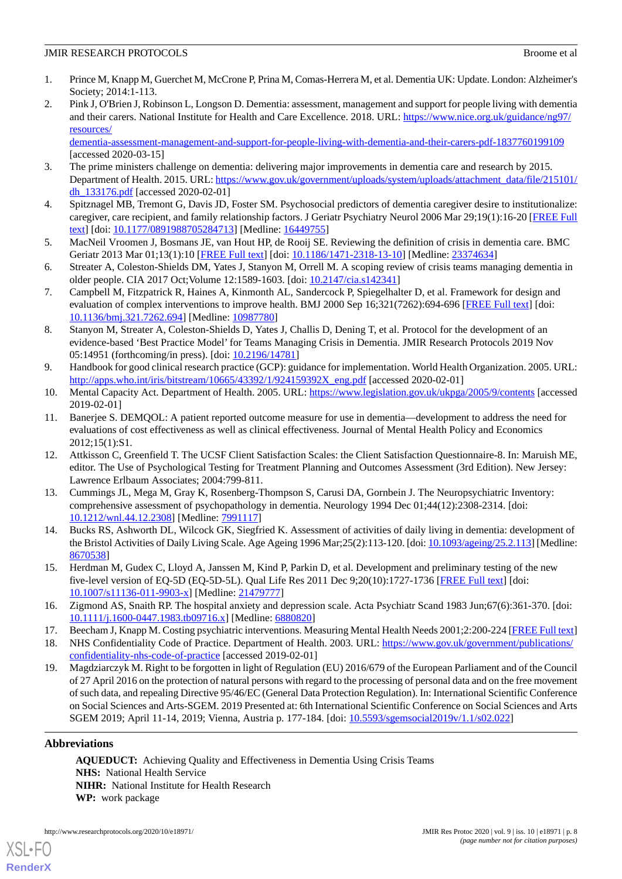- <span id="page-7-0"></span>1. Prince M, Knapp M, Guerchet M, McCrone P, Prina M, Comas-Herrera M, et al. Dementia UK: Update. London: Alzheimer's Society; 2014:1-113.
- <span id="page-7-1"></span>2. Pink J, O'Brien J, Robinson L, Longson D. Dementia: assessment, management and support for people living with dementia and their carers. National Institute for Health and Care Excellence. 2018. URL: [https://www.nice.org.uk/guidance/ng97/](https://www.nice.org.uk/guidance/ng97/resources/dementia-assessment-management-and-support-for-people-living-with-dementia-and-their-carers-pdf-1837760199109) [resources/](https://www.nice.org.uk/guidance/ng97/resources/dementia-assessment-management-and-support-for-people-living-with-dementia-and-their-carers-pdf-1837760199109)

[dementia-assessment-management-and-support-for-people-living-with-dementia-and-their-carers-pdf-1837760199109](https://www.nice.org.uk/guidance/ng97/resources/dementia-assessment-management-and-support-for-people-living-with-dementia-and-their-carers-pdf-1837760199109) [accessed 2020-03-15]

- <span id="page-7-3"></span><span id="page-7-2"></span>3. The prime ministers challenge on dementia: delivering major improvements in dementia care and research by 2015. Department of Health. 2015. URL: [https://www.gov.uk/government/uploads/system/uploads/attachment\\_data/file/215101/](https://www.gov.uk/government/uploads/system/uploads/attachment_data/file/215101/dh_133176.pdf) [dh\\_133176.pdf](https://www.gov.uk/government/uploads/system/uploads/attachment_data/file/215101/dh_133176.pdf) [accessed 2020-02-01]
- <span id="page-7-4"></span>4. Spitznagel MB, Tremont G, Davis JD, Foster SM. Psychosocial predictors of dementia caregiver desire to institutionalize: caregiver, care recipient, and family relationship factors. J Geriatr Psychiatry Neurol 2006 Mar 29;19(1):16-20 [\[FREE Full](http://europepmc.org/abstract/MED/16449755) [text](http://europepmc.org/abstract/MED/16449755)] [doi: [10.1177/0891988705284713\]](http://dx.doi.org/10.1177/0891988705284713) [Medline: [16449755\]](http://www.ncbi.nlm.nih.gov/entrez/query.fcgi?cmd=Retrieve&db=PubMed&list_uids=16449755&dopt=Abstract)
- <span id="page-7-5"></span>5. MacNeil Vroomen J, Bosmans JE, van Hout HP, de Rooij SE. Reviewing the definition of crisis in dementia care. BMC Geriatr 2013 Mar 01;13(1):10 [\[FREE Full text](https://bmcgeriatr.biomedcentral.com/articles/10.1186/1471-2318-13-10)] [doi: [10.1186/1471-2318-13-10\]](http://dx.doi.org/10.1186/1471-2318-13-10) [Medline: [23374634\]](http://www.ncbi.nlm.nih.gov/entrez/query.fcgi?cmd=Retrieve&db=PubMed&list_uids=23374634&dopt=Abstract)
- <span id="page-7-6"></span>6. Streater A, Coleston-Shields DM, Yates J, Stanyon M, Orrell M. A scoping review of crisis teams managing dementia in older people. CIA 2017 Oct;Volume 12:1589-1603. [doi: [10.2147/cia.s142341\]](http://dx.doi.org/10.2147/cia.s142341)
- <span id="page-7-7"></span>7. Campbell M, Fitzpatrick R, Haines A, Kinmonth AL, Sandercock P, Spiegelhalter D, et al. Framework for design and evaluation of complex interventions to improve health. BMJ 2000 Sep 16;321(7262):694-696 [[FREE Full text](http://europepmc.org/abstract/MED/10987780)] [doi: [10.1136/bmj.321.7262.694\]](http://dx.doi.org/10.1136/bmj.321.7262.694) [Medline: [10987780\]](http://www.ncbi.nlm.nih.gov/entrez/query.fcgi?cmd=Retrieve&db=PubMed&list_uids=10987780&dopt=Abstract)
- <span id="page-7-8"></span>8. Stanyon M, Streater A, Coleston-Shields D, Yates J, Challis D, Dening T, et al. Protocol for the development of an evidence-based 'Best Practice Model' for Teams Managing Crisis in Dementia. JMIR Research Protocols 2019 Nov 05:14951 (forthcoming/in press). [doi: [10.2196/14781](http://dx.doi.org/10.2196/14781)]
- <span id="page-7-10"></span><span id="page-7-9"></span>9. Handbook for good clinical research practice (GCP): guidance for implementation. World Health Organization. 2005. URL: [http://apps.who.int/iris/bitstream/10665/43392/1/924159392X\\_eng.pdf](http://apps.who.int/iris/bitstream/10665/43392/1/924159392X_eng.pdf) [accessed 2020-02-01]
- 10. Mental Capacity Act. Department of Health. 2005. URL:<https://www.legislation.gov.uk/ukpga/2005/9/contents> [accessed 2019-02-01]
- <span id="page-7-11"></span>11. Banerjee S. DEMQOL: A patient reported outcome measure for use in dementia—development to address the need for evaluations of cost effectiveness as well as clinical effectiveness. Journal of Mental Health Policy and Economics 2012;15(1):S1.
- <span id="page-7-12"></span>12. Attkisson C, Greenfield T. The UCSF Client Satisfaction Scales: the Client Satisfaction Questionnaire-8. In: Maruish ME, editor. The Use of Psychological Testing for Treatment Planning and Outcomes Assessment (3rd Edition). New Jersey: Lawrence Erlbaum Associates; 2004:799-811.
- <span id="page-7-13"></span>13. Cummings JL, Mega M, Gray K, Rosenberg-Thompson S, Carusi DA, Gornbein J. The Neuropsychiatric Inventory: comprehensive assessment of psychopathology in dementia. Neurology 1994 Dec 01;44(12):2308-2314. [doi: [10.1212/wnl.44.12.2308](http://dx.doi.org/10.1212/wnl.44.12.2308)] [Medline: [7991117](http://www.ncbi.nlm.nih.gov/entrez/query.fcgi?cmd=Retrieve&db=PubMed&list_uids=7991117&dopt=Abstract)]
- <span id="page-7-15"></span><span id="page-7-14"></span>14. Bucks RS, Ashworth DL, Wilcock GK, Siegfried K. Assessment of activities of daily living in dementia: development of the Bristol Activities of Daily Living Scale. Age Ageing 1996 Mar;25(2):113-120. [doi: [10.1093/ageing/25.2.113\]](http://dx.doi.org/10.1093/ageing/25.2.113) [Medline: [8670538\]](http://www.ncbi.nlm.nih.gov/entrez/query.fcgi?cmd=Retrieve&db=PubMed&list_uids=8670538&dopt=Abstract)
- <span id="page-7-17"></span><span id="page-7-16"></span>15. Herdman M, Gudex C, Lloyd A, Janssen M, Kind P, Parkin D, et al. Development and preliminary testing of the new five-level version of EQ-5D (EQ-5D-5L). Qual Life Res 2011 Dec 9;20(10):1727-1736 [\[FREE Full text\]](http://europepmc.org/abstract/MED/21479777) [doi: [10.1007/s11136-011-9903-x\]](http://dx.doi.org/10.1007/s11136-011-9903-x) [Medline: [21479777](http://www.ncbi.nlm.nih.gov/entrez/query.fcgi?cmd=Retrieve&db=PubMed&list_uids=21479777&dopt=Abstract)]
- <span id="page-7-18"></span>16. Zigmond AS, Snaith RP. The hospital anxiety and depression scale. Acta Psychiatr Scand 1983 Jun;67(6):361-370. [doi: [10.1111/j.1600-0447.1983.tb09716.x\]](http://dx.doi.org/10.1111/j.1600-0447.1983.tb09716.x) [Medline: [6880820](http://www.ncbi.nlm.nih.gov/entrez/query.fcgi?cmd=Retrieve&db=PubMed&list_uids=6880820&dopt=Abstract)]
- 17. Beecham J, Knapp M. Costing psychiatric interventions. Measuring Mental Health Needs 2001;2:200-224 [\[FREE Full text](https://www.researchgate.net/publication/30524994_Costing_Psychiatric_Interventions)]
- 18. NHS Confidentiality Code of Practice. Department of Health. 2003. URL: [https://www.gov.uk/government/publications/](https://www.gov.uk/government/publications/confidentiality-nhs-code-of-practice) [confidentiality-nhs-code-of-practice](https://www.gov.uk/government/publications/confidentiality-nhs-code-of-practice) [accessed 2019-02-01]
- 19. Magdziarczyk M. Right to be forgotten in light of Regulation (EU) 2016/679 of the European Parliament and of the Council of 27 April 2016 on the protection of natural persons with regard to the processing of personal data and on the free movement of such data, and repealing Directive 95/46/EC (General Data Protection Regulation). In: International Scientific Conference on Social Sciences and Arts-SGEM. 2019 Presented at: 6th International Scientific Conference on Social Sciences and Arts SGEM 2019; April 11-14, 2019; Vienna, Austria p. 177-184. [doi: [10.5593/sgemsocial2019v/1.1/s02.022](http://dx.doi.org/10.5593/sgemsocial2019v/1.1/s02.022)]

#### **Abbreviations**

[XSL](http://www.w3.org/Style/XSL)•FO **[RenderX](http://www.renderx.com/)**

**AQUEDUCT:** Achieving Quality and Effectiveness in Dementia Using Crisis Teams **NHS:** National Health Service **NIHR:** National Institute for Health Research **WP:** work package